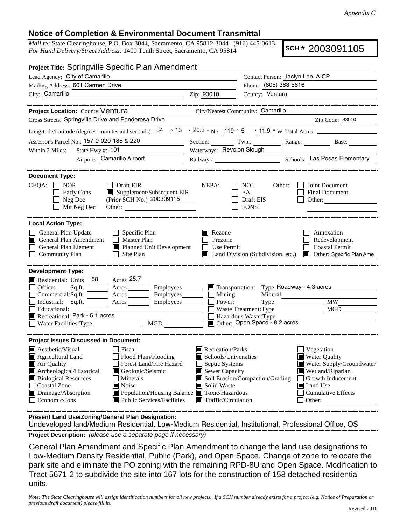## **Notice of Completion & Environmental Document Transmittal**

*Mail to:* State Clearinghouse, P.O. Box 3044, Sacramento, CA 95812-3044 (916) 445-0613 *For Hand Delivery/Street Address:* 1400 Tenth Street, Sacramento, CA 95814

**SCH #** 2003091105

| <b>Project Title: Springville Specific Plan Amendment</b>                                                                                                                                             |                                                           |                                                  |                                                                                  |  |
|-------------------------------------------------------------------------------------------------------------------------------------------------------------------------------------------------------|-----------------------------------------------------------|--------------------------------------------------|----------------------------------------------------------------------------------|--|
| Lead Agency: City of Camarillo                                                                                                                                                                        | Contact Person: Jaclyn Lee, AICP                          |                                                  |                                                                                  |  |
| Mailing Address: 601 Carmen Drive                                                                                                                                                                     |                                                           | Phone: (805) 383-5616                            |                                                                                  |  |
| City: Camarillo                                                                                                                                                                                       | Zip: 93010                                                | County: Ventura                                  |                                                                                  |  |
|                                                                                                                                                                                                       |                                                           |                                                  |                                                                                  |  |
| <b>Project Location: County: Ventura</b>                                                                                                                                                              | City/Nearest Community: Camarillo                         |                                                  |                                                                                  |  |
| Cross Streets: Springville Drive and Ponderosa Drive                                                                                                                                                  |                                                           |                                                  | Zip Code: 93010                                                                  |  |
| Longitude/Latitude (degrees, minutes and seconds): $34 \cdot 34 \cdot 20.3$ "N / -119 ° 5 $\cdot$ 11.9 "W Total Acres:                                                                                |                                                           |                                                  |                                                                                  |  |
| Assessor's Parcel No.: 157-0-020-185 & 220                                                                                                                                                            |                                                           |                                                  | Section: Twp.: Range: Base: Base:                                                |  |
| Within 2 Miles:<br>State Hwy #: $101$                                                                                                                                                                 | Waterways: Revolon Slough                                 |                                                  |                                                                                  |  |
| Airports: Camarillo Airport                                                                                                                                                                           |                                                           |                                                  |                                                                                  |  |
| <b>Document Type:</b><br>$CEQA: \Box$<br><b>NOP</b><br>$\Box$ Draft EIR<br>Supplement/Subsequent EIR<br>Early Cons<br>(Prior SCH No.) 200309115<br>Neg Dec<br>Mit Neg Dec<br>Other: $\qquad \qquad$   | NEPA:                                                     | NOI<br>Other:<br>EA<br>Draft EIS<br><b>FONSI</b> | Joint Document<br><b>Final Document</b><br>Other: $\qquad \qquad$                |  |
| <b>Local Action Type:</b>                                                                                                                                                                             |                                                           |                                                  |                                                                                  |  |
| General Plan Update<br>$\Box$ Specific Plan<br>General Plan Amendment<br>$\Box$ Master Plan<br><b>General Plan Element</b><br>■ Planned Unit Development<br><b>Community Plan</b><br>$\Box$ Site Plan | $\blacksquare$ Rezone<br>Prezone<br>Use Permit<br>$\perp$ | $\blacksquare$ Land Division (Subdivision, etc.) | Annexation<br>Redevelopment<br><b>Coastal Permit</b><br>Other: Specific Plan Ame |  |
| <b>Development Type:</b>                                                                                                                                                                              |                                                           |                                                  |                                                                                  |  |
| Residential: Units 158 Acres 25.7                                                                                                                                                                     |                                                           |                                                  |                                                                                  |  |
| Sq.ft. ________ Acres __________ Employees ________ ■ Transportation: Type Roadway - 4.3 acres<br>Office:                                                                                             |                                                           |                                                  |                                                                                  |  |
| Commercial:Sq.ft. ________ Acres _________ Employees _______ __ Mining:<br>Industrial: Sq.ft. _______ Acres ________ Employees _______ $\Box$ Power:                                                  |                                                           | Mineral                                          | <b>MW</b>                                                                        |  |
| Educational:                                                                                                                                                                                          |                                                           | Waste Treatment: Type                            | MGD                                                                              |  |
| Recreational: Park - 5.1 acres                                                                                                                                                                        |                                                           | Hazardous Waste: Type                            |                                                                                  |  |
|                                                                                                                                                                                                       |                                                           | Other: Open Space - 8.2 acres                    |                                                                                  |  |
| <b>Project Issues Discussed in Document:</b>                                                                                                                                                          |                                                           |                                                  |                                                                                  |  |
| $\blacksquare$ Aesthetic/Visual<br>  Fiscal                                                                                                                                                           | Recreation/Parks                                          |                                                  | Vegetation                                                                       |  |
| Agricultural Land<br>$\Box$ Flood Plain/Flooding                                                                                                                                                      |                                                           | Schools/Universities<br><b>Water Quality</b>     |                                                                                  |  |
| Forest Land/Fire Hazard<br>Air Quality                                                                                                                                                                | Septic Systems                                            |                                                  | Water Supply/Groundwater                                                         |  |
| Archeological/Historical<br>Geologic/Seismic<br><b>Biological Resources</b><br>Minerals                                                                                                               | Sewer Capacity                                            | Soil Erosion/Compaction/Grading                  | Wetland/Riparian<br>Growth Inducement                                            |  |
| Noise<br><b>Coastal Zone</b>                                                                                                                                                                          | Solid Waste<br>Ш                                          |                                                  | <b>I</b> Land Use                                                                |  |
| Drainage/Absorption<br>Population/Housing Balance Toxic/Hazardous                                                                                                                                     |                                                           | <b>Cumulative Effects</b>                        |                                                                                  |  |
| Economic/Jobs<br>Public Services/Facilities                                                                                                                                                           | Traffic/Circulation                                       |                                                  | Other:                                                                           |  |
|                                                                                                                                                                                                       |                                                           |                                                  |                                                                                  |  |

**Present Land Use/Zoning/General Plan Designation:**

**Project Description:** *(please use a separate page if necessary)* Undeveloped land/Medium Residential, Low-Medium Residential, Institutional, Professional Office, OS

General Plan Amendment and Specific Plan Amendment to change the land use designations to Low-Medium Density Residential, Public (Park), and Open Space. Change of zone to relocate the park site and eliminate the PO zoning with the remaining RPD-8U and Open Space. Modification to Tract 5671-2 to subdivide the site into 167 lots for the construction of 158 detached residential units.

*Note: The State Clearinghouse will assign identification numbers for all new projects. If a SCH number already exists for a project (e.g. Notice of Preparation or previous draft document) please fill in.*